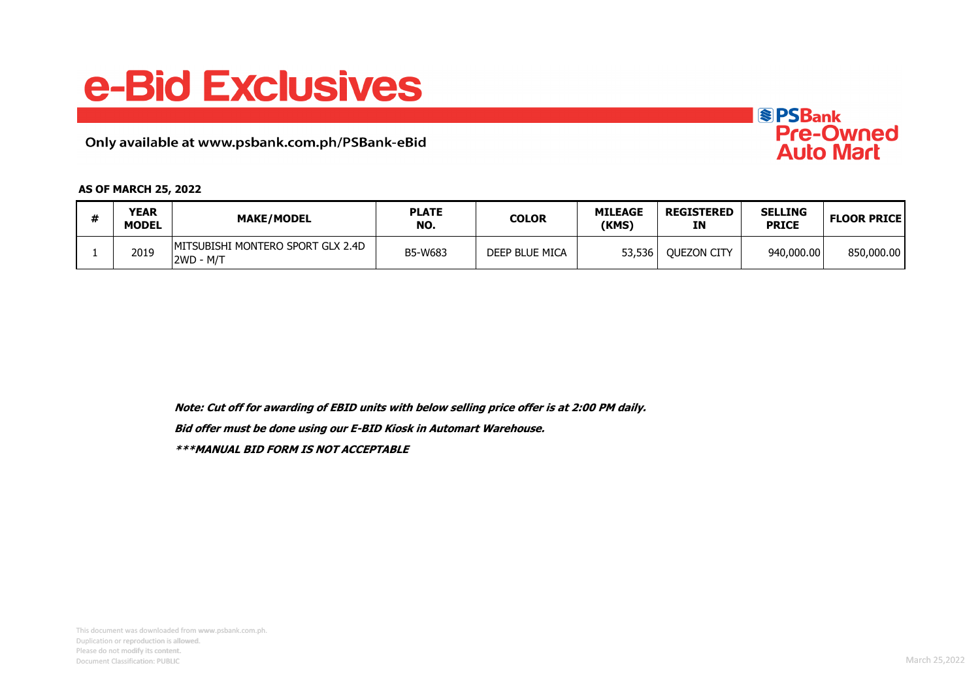## e-Bid Exclusives

Only available at www.psbank.com.ph/PSBank-eBid



| <b>YEAR</b><br><b>MODEL</b> | <b>MAKE/MODEL</b>                                      | <b>PLATE</b><br>NO. | COLOR          | <b>MILEAGE</b><br>(KMS) | <b>REGISTERED</b><br>ΙN | <b>SELLING</b><br><b>PRICE</b> | <b>FLOOR PRICE</b> |
|-----------------------------|--------------------------------------------------------|---------------------|----------------|-------------------------|-------------------------|--------------------------------|--------------------|
| 2019                        | <b>IMITSUBISHI MONTERO SPORT GLX 2.4D</b><br>2WD - M/T | B5-W683             | DEEP BLUE MICA | 53,536                  | <b>OUEZON CITY</b>      | 940,000,00                     | 850,000.00         |

**Note: Cut off for awarding of EBID units with below selling price offer is at 2:00 PM daily.**

**Bid offer must be done using our E-BID Kiosk in Automart Warehouse.**

**\*\*\*MANUAL BID FORM IS NOT ACCEPTABLE**

**SPSBank** 

Pre-Owned<br>Auto Mart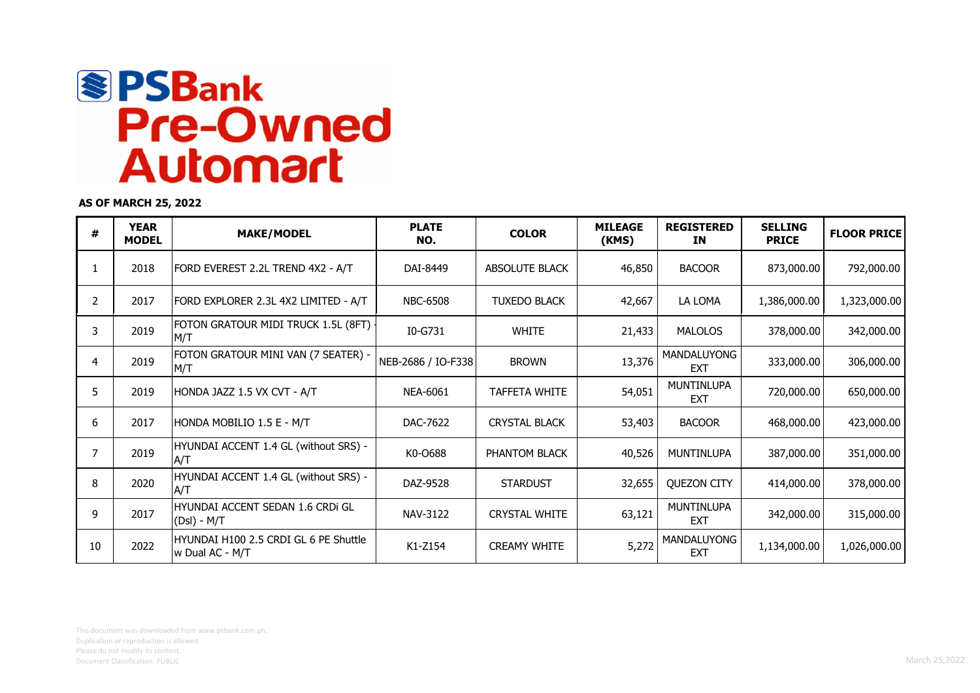

**AS OF MARCH 25, 2022**

| #  | <b>YEAR</b><br><b>MODEL</b> | <b>MAKE/MODEL</b>                                        | <b>PLATE</b><br>NO. | <b>COLOR</b>          | <b>MILEAGE</b><br>(KMS) | <b>REGISTERED</b><br>ΙN         | <b>SELLING</b><br><b>PRICE</b> | <b>FLOOR PRICE</b> |
|----|-----------------------------|----------------------------------------------------------|---------------------|-----------------------|-------------------------|---------------------------------|--------------------------------|--------------------|
|    | 2018                        | FORD EVEREST 2.2L TREND 4X2 - A/T                        | DAI-8449            | <b>ABSOLUTE BLACK</b> | 46,850                  | <b>BACOOR</b>                   | 873,000.00                     | 792,000.00         |
| 2  | 2017                        | FORD EXPLORER 2.3L 4X2 LIMITED - A/T                     | <b>NBC-6508</b>     | <b>TUXEDO BLACK</b>   | 42,667                  | LA LOMA                         | 1,386,000.00                   | 1,323,000.00       |
| 3  | 2019                        | FOTON GRATOUR MIDI TRUCK 1.5L (8FT)<br>M/T               | I0-G731             | <b>WHITE</b>          | 21,433                  | <b>MALOLOS</b>                  | 378,000.00                     | 342,000.00         |
| 4  | 2019                        | FOTON GRATOUR MINI VAN (7 SEATER) -<br>M/T               | NEB-2686 / IO-F338  | <b>BROWN</b>          | 13,376                  | MANDALUYONG<br><b>EXT</b>       | 333,000.00                     | 306,000.00         |
| 5  | 2019                        | HONDA JAZZ 1.5 VX CVT - A/T                              | <b>NEA-6061</b>     | <b>TAFFETA WHITE</b>  | 54,051                  | <b>MUNTINLUPA</b><br><b>EXT</b> | 720,000.00                     | 650,000.00         |
| 6  | 2017                        | HONDA MOBILIO 1.5 E - M/T                                | DAC-7622            | <b>CRYSTAL BLACK</b>  | 53,403                  | <b>BACOOR</b>                   | 468,000.00                     | 423,000.00         |
| 7  | 2019                        | HYUNDAI ACCENT 1.4 GL (without SRS) -<br>A/T             | K0-0688             | PHANTOM BLACK         | 40,526                  | <b>MUNTINLUPA</b>               | 387,000.00                     | 351,000.00         |
| 8  | 2020                        | HYUNDAI ACCENT 1.4 GL (without SRS) -<br>A/T             | DAZ-9528            | <b>STARDUST</b>       | 32,655                  | <b>QUEZON CITY</b>              | 414,000.00                     | 378,000.00         |
| 9  | 2017                        | HYUNDAI ACCENT SEDAN 1.6 CRDI GL<br>(Dsl) - M/T          | NAV-3122            | <b>CRYSTAL WHITE</b>  | 63,121                  | <b>MUNTINLUPA</b><br><b>EXT</b> | 342,000.00                     | 315,000.00         |
| 10 | 2022                        | HYUNDAI H100 2.5 CRDI GL 6 PE Shuttle<br>w Dual AC - M/T | K1-Z154             | <b>CREAMY WHITE</b>   | 5,272                   | MANDALUYONG<br><b>EXT</b>       | 1,134,000.00                   | 1,026,000.00       |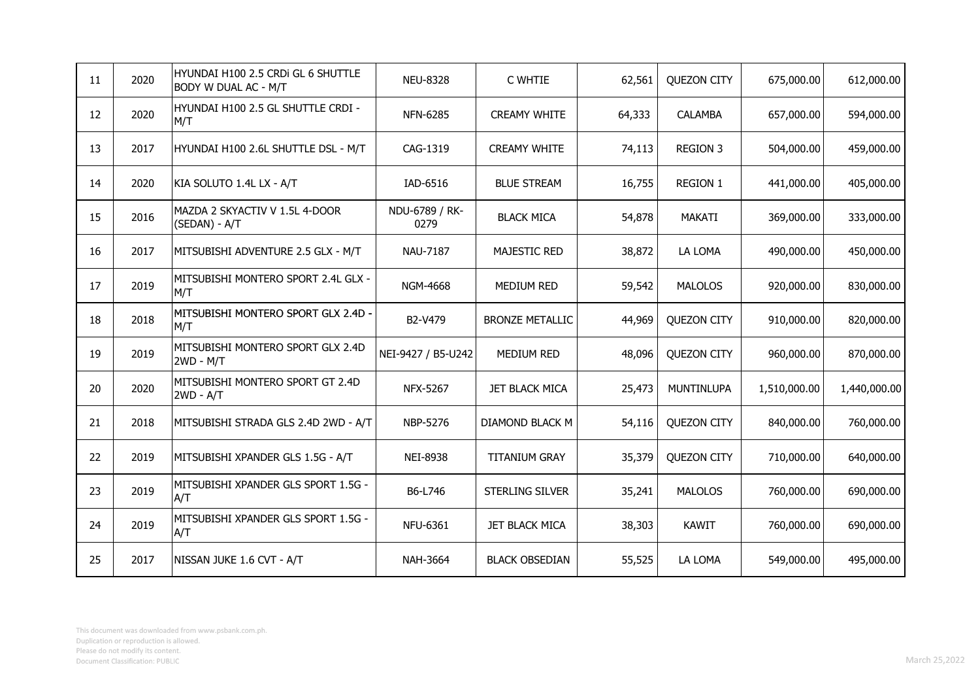| 11                | 2020 | HYUNDAI H100 2.5 CRDi GL 6 SHUTTLE<br>BODY W DUAL AC - M/T | <b>NEU-8328</b>        | C WHTIE                | 62,561 | <b>QUEZON CITY</b> | 675,000.00   | 612,000.00   |
|-------------------|------|------------------------------------------------------------|------------------------|------------------------|--------|--------------------|--------------|--------------|
| $12 \overline{ }$ | 2020 | HYUNDAI H100 2.5 GL SHUTTLE CRDI -<br>M/T                  | <b>NFN-6285</b>        | <b>CREAMY WHITE</b>    | 64,333 | <b>CALAMBA</b>     | 657,000.00   | 594,000.00   |
| 13                | 2017 | HYUNDAI H100 2.6L SHUTTLE DSL - M/T                        | CAG-1319               | <b>CREAMY WHITE</b>    | 74,113 | <b>REGION 3</b>    | 504,000.00   | 459,000.00   |
| 14                | 2020 | KIA SOLUTO 1.4L LX - A/T                                   | IAD-6516               | <b>BLUE STREAM</b>     | 16,755 | <b>REGION 1</b>    | 441,000.00   | 405,000.00   |
| 15                | 2016 | MAZDA 2 SKYACTIV V 1.5L 4-DOOR<br>(SEDAN) - A/T            | NDU-6789 / RK-<br>0279 | <b>BLACK MICA</b>      | 54,878 | <b>MAKATI</b>      | 369,000.00   | 333,000.00   |
| 16                | 2017 | MITSUBISHI ADVENTURE 2.5 GLX - M/T                         | <b>NAU-7187</b>        | <b>MAJESTIC RED</b>    | 38,872 | LA LOMA            | 490,000.00   | 450,000.00   |
| 17                | 2019 | MITSUBISHI MONTERO SPORT 2.4L GLX -<br>M/T                 | NGM-4668               | <b>MEDIUM RED</b>      | 59,542 | <b>MALOLOS</b>     | 920,000.00   | 830,000.00   |
| 18                | 2018 | MITSUBISHI MONTERO SPORT GLX 2.4D -<br>M/T                 | B2-V479                | <b>BRONZE METALLIC</b> | 44,969 | <b>QUEZON CITY</b> | 910,000.00   | 820,000.00   |
| 19                | 2019 | MITSUBISHI MONTERO SPORT GLX 2.4D<br>$2WD - M/T$           | NEI-9427 / B5-U242     | <b>MEDIUM RED</b>      | 48,096 | <b>QUEZON CITY</b> | 960,000.00   | 870,000.00   |
| 20                | 2020 | MITSUBISHI MONTERO SPORT GT 2.4D<br>$2WD - A/T$            | NFX-5267               | <b>JET BLACK MICA</b>  | 25,473 | MUNTINLUPA         | 1,510,000.00 | 1,440,000.00 |
| 21                | 2018 | MITSUBISHI STRADA GLS 2.4D 2WD - A/T                       | NBP-5276               | DIAMOND BLACK M        | 54,116 | <b>QUEZON CITY</b> | 840,000.00   | 760,000.00   |
| 22                | 2019 | MITSUBISHI XPANDER GLS 1.5G - A/T                          | <b>NEI-8938</b>        | <b>TITANIUM GRAY</b>   | 35,379 | <b>QUEZON CITY</b> | 710,000.00   | 640,000.00   |
| 23                | 2019 | MITSUBISHI XPANDER GLS SPORT 1.5G -<br>A/T                 | B6-L746                | STERLING SILVER        | 35,241 | <b>MALOLOS</b>     | 760,000.00   | 690,000.00   |
| 24                | 2019 | MITSUBISHI XPANDER GLS SPORT 1.5G -<br>A/T                 | <b>NFU-6361</b>        | <b>JET BLACK MICA</b>  | 38,303 | <b>KAWIT</b>       | 760,000.00   | 690,000.00   |
| 25                | 2017 | NISSAN JUKE 1.6 CVT - A/T                                  | <b>NAH-3664</b>        | <b>BLACK OBSEDIAN</b>  | 55,525 | LA LOMA            | 549,000.00   | 495,000.00   |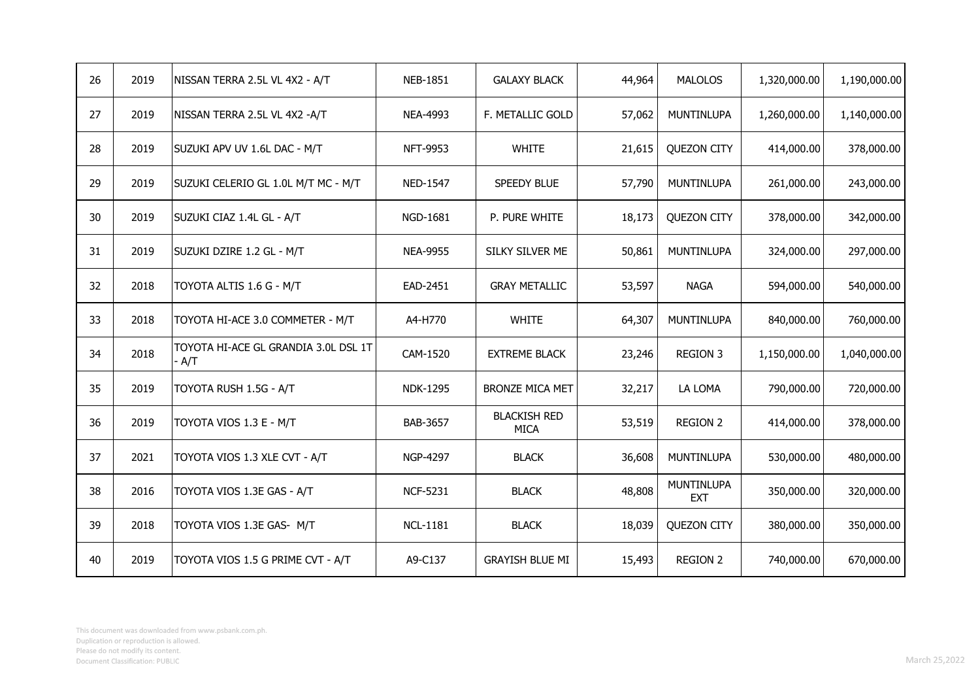| 26 | 2019 | NISSAN TERRA 2.5L VL 4X2 - A/T                | <b>NEB-1851</b> | <b>GALAXY BLACK</b>                | 44,964 | <b>MALOLOS</b>           | 1,320,000.00 | 1,190,000.00 |
|----|------|-----------------------------------------------|-----------------|------------------------------------|--------|--------------------------|--------------|--------------|
| 27 | 2019 | NISSAN TERRA 2.5L VL 4X2 -A/T                 | NEA-4993        | F. METALLIC GOLD                   | 57,062 | <b>MUNTINLUPA</b>        | 1,260,000.00 | 1,140,000.00 |
| 28 | 2019 | SUZUKI APV UV 1.6L DAC - M/T                  | NFT-9953        | <b>WHITE</b>                       | 21,615 | <b>QUEZON CITY</b>       | 414,000.00   | 378,000.00   |
| 29 | 2019 | SUZUKI CELERIO GL 1.0L M/T MC - M/T           | NED-1547        | SPEEDY BLUE                        | 57,790 | MUNTINLUPA               | 261,000.00   | 243,000.00   |
| 30 | 2019 | SUZUKI CIAZ 1.4L GL - A/T                     | NGD-1681        | P. PURE WHITE                      | 18,173 | <b>QUEZON CITY</b>       | 378,000.00   | 342,000.00   |
| 31 | 2019 | SUZUKI DZIRE 1.2 GL - M/T                     | <b>NEA-9955</b> | SILKY SILVER ME                    | 50,861 | MUNTINLUPA               | 324,000.00   | 297,000.00   |
| 32 | 2018 | TOYOTA ALTIS 1.6 G - M/T                      | EAD-2451        | <b>GRAY METALLIC</b>               | 53,597 | <b>NAGA</b>              | 594,000.00   | 540,000.00   |
| 33 | 2018 | TOYOTA HI-ACE 3.0 COMMETER - M/T              | A4-H770         | <b>WHITE</b>                       | 64,307 | <b>MUNTINLUPA</b>        | 840,000.00   | 760,000.00   |
| 34 | 2018 | TOYOTA HI-ACE GL GRANDIA 3.0L DSL 1T<br>· A/T | CAM-1520        | <b>EXTREME BLACK</b>               | 23,246 | <b>REGION 3</b>          | 1,150,000.00 | 1,040,000.00 |
| 35 | 2019 | TOYOTA RUSH 1.5G - A/T                        | <b>NDK-1295</b> | <b>BRONZE MICA MET</b>             | 32,217 | LA LOMA                  | 790,000.00   | 720,000.00   |
| 36 | 2019 | TOYOTA VIOS 1.3 E - M/T                       | BAB-3657        | <b>BLACKISH RED</b><br><b>MICA</b> | 53,519 | <b>REGION 2</b>          | 414,000.00   | 378,000.00   |
| 37 | 2021 | TOYOTA VIOS 1.3 XLE CVT - A/T                 | NGP-4297        | <b>BLACK</b>                       | 36,608 | MUNTINLUPA               | 530,000.00   | 480,000.00   |
| 38 | 2016 | TOYOTA VIOS 1.3E GAS - A/T                    | <b>NCF-5231</b> | <b>BLACK</b>                       | 48,808 | MUNTINLUPA<br><b>EXT</b> | 350,000.00   | 320,000.00   |
| 39 | 2018 | TOYOTA VIOS 1.3E GAS- M/T                     | <b>NCL-1181</b> | <b>BLACK</b>                       | 18,039 | <b>QUEZON CITY</b>       | 380,000.00   | 350,000.00   |
| 40 | 2019 | TOYOTA VIOS 1.5 G PRIME CVT - A/T             | A9-C137         | <b>GRAYISH BLUE MI</b>             | 15,493 | <b>REGION 2</b>          | 740,000.00   | 670,000.00   |